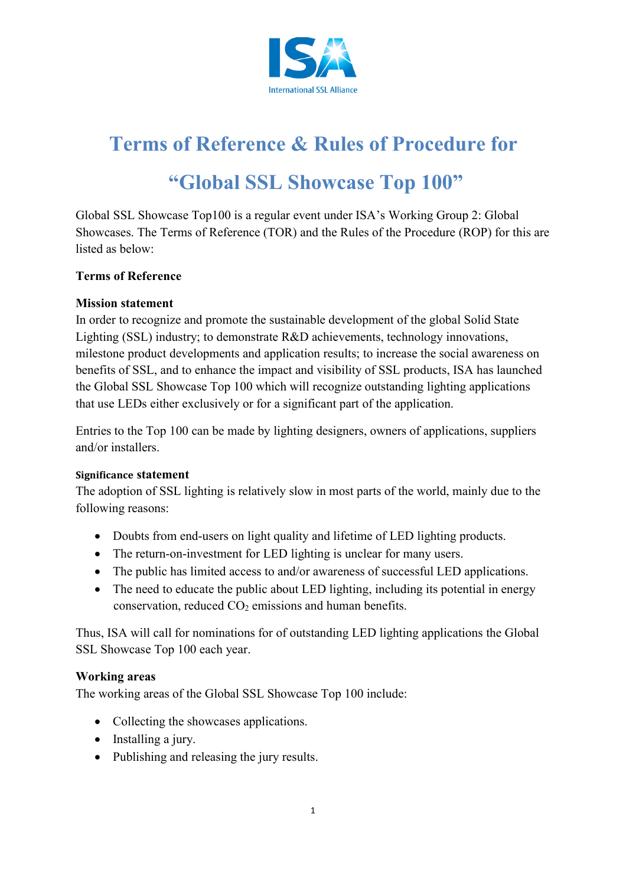

# **Terms of Reference & Rules of Procedure for "Global SSL Showcase Top 100"**

Global SSL Showcase Top100 is a regular event under ISA's Working Group 2: Global Showcases. The Terms of Reference (TOR) and the Rules of the Procedure (ROP) for this are listed as below:

#### **Terms of Reference**

#### **Mission statement**

In order to recognize and promote the sustainable development of the global Solid State Lighting (SSL) industry; to demonstrate R&D achievements, technology innovations, milestone product developments and application results; to increase the social awareness on benefits of SSL, and to enhance the impact and visibility of SSL products, ISA has launched the Global SSL Showcase Top 100 which will recognize outstanding lighting applications that use LEDs either exclusively or for a significant part of the application.

Entries to the Top 100 can be made by lighting designers, owners of applications, suppliers and/or installers.

#### **Significance statement**

The adoption of SSL lighting is relatively slow in most parts of the world, mainly due to the following reasons:

- Doubts from end-users on light quality and lifetime of LED lighting products.
- The return-on-investment for LED lighting is unclear for many users.
- The public has limited access to and/or awareness of successful LED applications.
- The need to educate the public about LED lighting, including its potential in energy conservation, reduced  $CO<sub>2</sub>$  emissions and human benefits.

Thus, ISA will call for nominations for of outstanding LED lighting applications the Global SSL Showcase Top 100 each year.

#### **Working areas**

The working areas of the Global SSL Showcase Top 100 include:

- Collecting the showcases applications.
- Installing a jury.
- Publishing and releasing the jury results.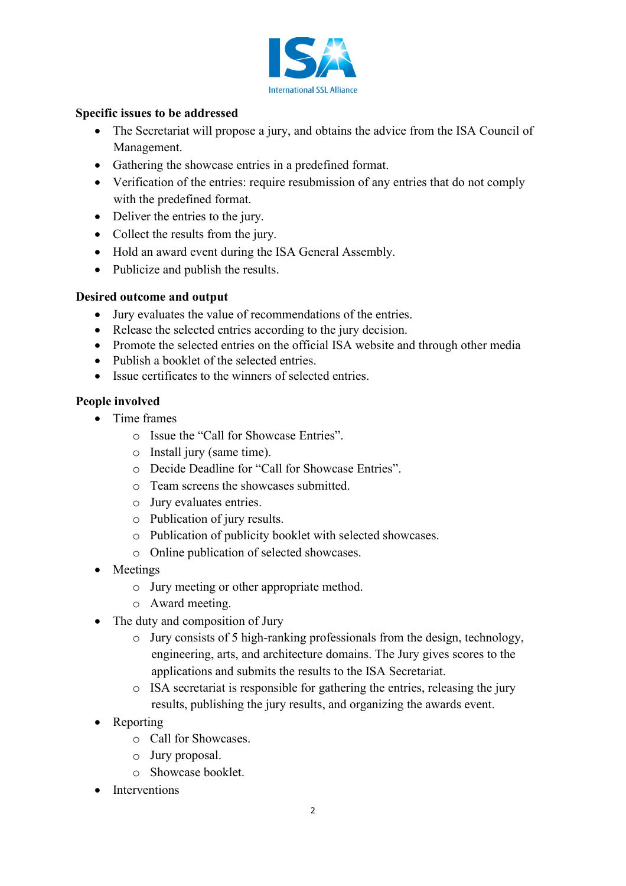

#### **Specific issues to be addressed**

- The Secretariat will propose a jury, and obtains the advice from the ISA Council of Management.
- Gathering the showcase entries in a predefined format.
- Verification of the entries: require resubmission of any entries that do not comply with the predefined format.
- Deliver the entries to the jury.
- Collect the results from the jury.
- Hold an award event during the ISA General Assembly.
- Publicize and publish the results.

# **Desired outcome and output**

- Jury evaluates the value of recommendations of the entries.
- Release the selected entries according to the jury decision.
- Promote the selected entries on the official ISA website and through other media
- Publish a booklet of the selected entries.
- Issue certificates to the winners of selected entries.

# **People involved**

- Time frames
	- o Issue the "Call for Showcase Entries".
	- o Install jury (same time).
	- o Decide Deadline for "Call for Showcase Entries".
	- o Team screens the showcases submitted.
	- o Jury evaluates entries.
	- o Publication of jury results.
	- o Publication of publicity booklet with selected showcases.
	- o Online publication of selected showcases.
- Meetings
	- o Jury meeting or other appropriate method.
	- o Award meeting.
- The duty and composition of Jury
	- o Jury consists of 5 high-ranking professionals from the design, technology, engineering, arts, and architecture domains. The Jury gives scores to the applications and submits the results to the ISA Secretariat.
	- o ISA secretariat is responsible for gathering the entries, releasing the jury results, publishing the jury results, and organizing the awards event.
- Reporting
	- o Call for Showcases.
	- o Jury proposal.
	- o Showcase booklet.
- **Interventions**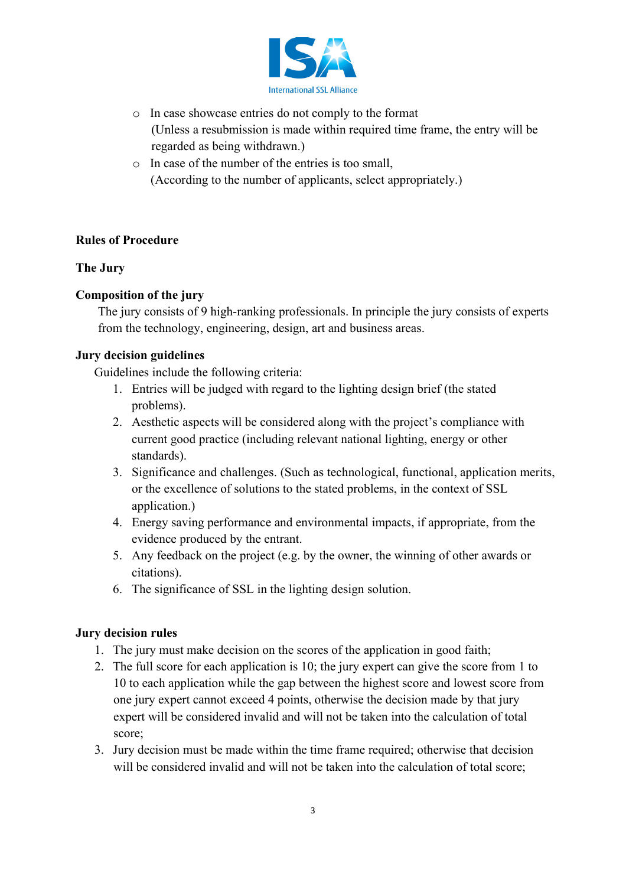

- o In case showcase entries do not comply to the format (Unless a resubmission is made within required time frame, the entry will be regarded as being withdrawn.)
- o In case of the number of the entries is too small, (According to the number of applicants, select appropriately.)

# **Rules of Procedure**

#### **The Jury**

#### **Composition of the jury**

The jury consists of 9 high-ranking professionals. In principle the jury consists of experts from the technology, engineering, design, art and business areas.

#### **Jury decision guidelines**

Guidelines include the following criteria:

- 1. Entries will be judged with regard to the lighting design brief (the stated problems).
- 2. Aesthetic aspects will be considered along with the project's compliance with current good practice (including relevant national lighting, energy or other standards).
- 3. Significance and challenges. (Such as technological, functional, application merits, or the excellence of solutions to the stated problems, in the context of SSL application.)
- 4. Energy saving performance and environmental impacts, if appropriate, from the evidence produced by the entrant.
- 5. Any feedback on the project (e.g. by the owner, the winning of other awards or citations).
- 6. The significance of SSL in the lighting design solution.

#### **Jury decision rules**

- 1. The jury must make decision on the scores of the application in good faith;
- 2. The full score for each application is 10; the jury expert can give the score from 1 to 10 to each application while the gap between the highest score and lowest score from one jury expert cannot exceed 4 points, otherwise the decision made by that jury expert will be considered invalid and will not be taken into the calculation of total score;
- 3. Jury decision must be made within the time frame required; otherwise that decision will be considered invalid and will not be taken into the calculation of total score;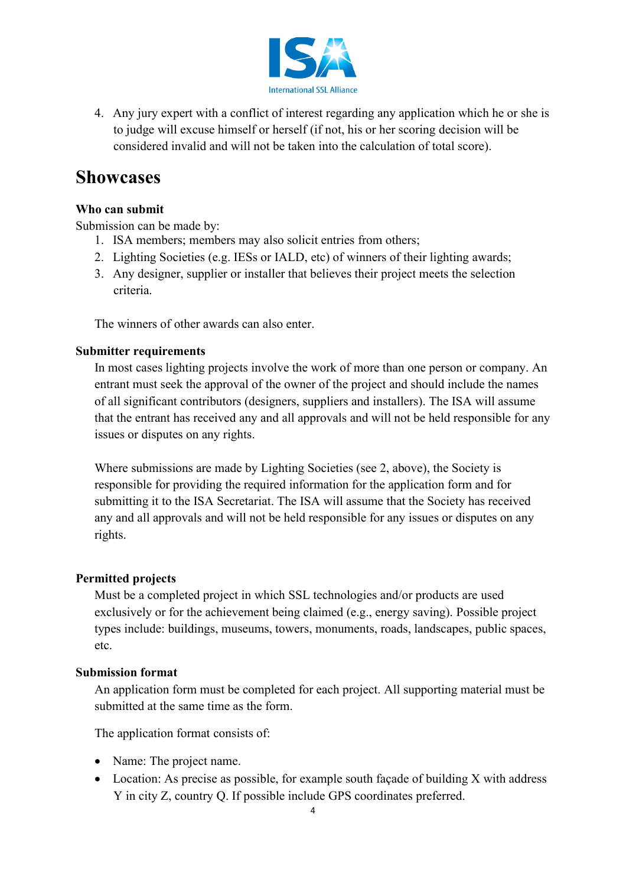

4. Any jury expert with a conflict of interest regarding any application which he or she is to judge will excuse himself or herself (if not, his or her scoring decision will be considered invalid and will not be taken into the calculation of total score).

# **Showcases**

# **Who can submit**

Submission can be made by:

- 1. ISA members; members may also solicit entries from others;
- 2. Lighting Societies (e.g. IESs or IALD, etc) of winners of their lighting awards;
- 3. Any designer, supplier or installer that believes their project meets the selection criteria.

The winners of other awards can also enter.

# **Submitter requirements**

In most cases lighting projects involve the work of more than one person or company. An entrant must seek the approval of the owner of the project and should include the names of all significant contributors (designers, suppliers and installers). The ISA will assume that the entrant has received any and all approvals and will not be held responsible for any issues or disputes on any rights.

Where submissions are made by Lighting Societies (see 2, above), the Society is responsible for providing the required information for the application form and for submitting it to the ISA Secretariat. The ISA will assume that the Society has received any and all approvals and will not be held responsible for any issues or disputes on any rights.

# **Permitted projects**

Must be a completed project in which SSL technologies and/or products are used exclusively or for the achievement being claimed (e.g., energy saving). Possible project types include: buildings, museums, towers, monuments, roads, landscapes, public spaces, etc.

# **Submission format**

An application form must be completed for each project. All supporting material must be submitted at the same time as the form.

The application format consists of:

- Name: The project name.
- Location: As precise as possible, for example south façade of building X with address Y in city Z, country Q. If possible include GPS coordinates preferred.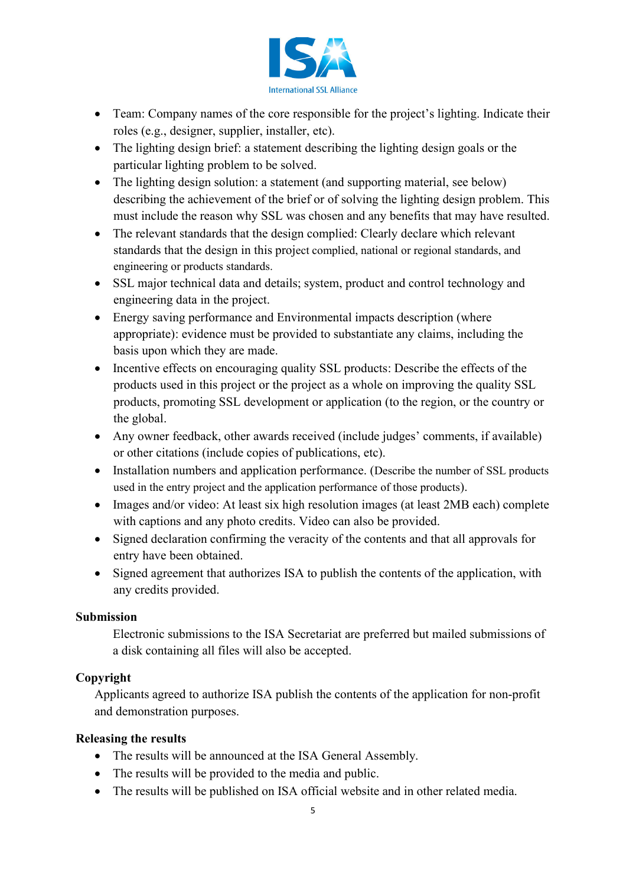

- Team: Company names of the core responsible for the project's lighting. Indicate their roles (e.g., designer, supplier, installer, etc).
- The lighting design brief: a statement describing the lighting design goals or the particular lighting problem to be solved.
- The lighting design solution: a statement (and supporting material, see below) describing the achievement of the brief or of solving the lighting design problem. This must include the reason why SSL was chosen and any benefits that may have resulted.
- The relevant standards that the design complied: Clearly declare which relevant standards that the design in this project complied, national or regional standards, and engineering or products standards.
- SSL major technical data and details; system, product and control technology and engineering data in the project.
- Energy saving performance and Environmental impacts description (where appropriate): evidence must be provided to substantiate any claims, including the basis upon which they are made.
- Incentive effects on encouraging quality SSL products: Describe the effects of the products used in this project or the project as a whole on improving the quality SSL products, promoting SSL development or application (to the region, or the country or the global.
- Any owner feedback, other awards received (include judges' comments, if available) or other citations (include copies of publications, etc).
- Installation numbers and application performance. (Describe the number of SSL products used in the entry project and the application performance of those products).
- Images and/or video: At least six high resolution images (at least 2MB each) complete with captions and any photo credits. Video can also be provided.
- Signed declaration confirming the veracity of the contents and that all approvals for entry have been obtained.
- Signed agreement that authorizes ISA to publish the contents of the application, with any credits provided.

#### **Submission**

Electronic submissions to the ISA Secretariat are preferred but mailed submissions of a disk containing all files will also be accepted.

# **Copyright**

Applicants agreed to authorize ISA publish the contents of the application for non-profit and demonstration purposes.

#### **Releasing the results**

- The results will be announced at the ISA General Assembly.
- The results will be provided to the media and public.
- The results will be published on ISA official website and in other related media.